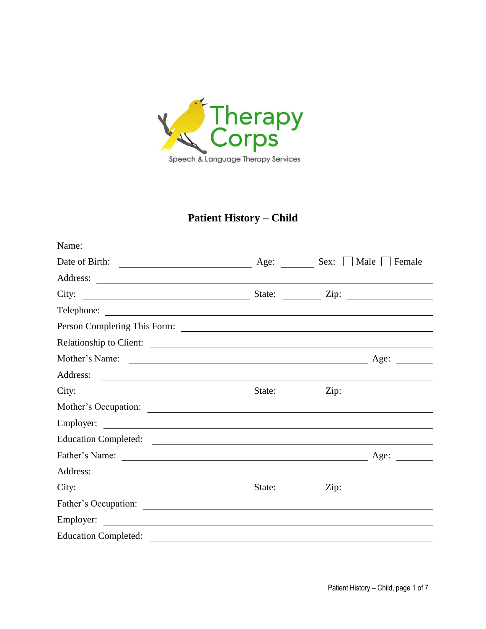

# **Patient History – Child**

| Name:<br><u> 1980 - Andrea Andrew Maria (h. 1980).</u>                                                                                                                                                                              |                                                                       |
|-------------------------------------------------------------------------------------------------------------------------------------------------------------------------------------------------------------------------------------|-----------------------------------------------------------------------|
|                                                                                                                                                                                                                                     | $\blacksquare$ Female                                                 |
|                                                                                                                                                                                                                                     |                                                                       |
|                                                                                                                                                                                                                                     |                                                                       |
|                                                                                                                                                                                                                                     |                                                                       |
|                                                                                                                                                                                                                                     |                                                                       |
| Relationship to Client:                                                                                                                                                                                                             |                                                                       |
|                                                                                                                                                                                                                                     | Age:<br>$\mathcal{L}^{\text{max}}$ , where $\mathcal{L}^{\text{max}}$ |
|                                                                                                                                                                                                                                     |                                                                       |
|                                                                                                                                                                                                                                     |                                                                       |
|                                                                                                                                                                                                                                     |                                                                       |
|                                                                                                                                                                                                                                     |                                                                       |
| Education Completed: <u>completed:</u> completed: completed: completed: completed: completed: completed: completed: completed: completed: completed: completed: completed: completed: completed: completed: completed: completed: c |                                                                       |
| Father's Name: 2008. The Contract of the Contract of the Contract of the Contract of the Contract of the Contract of the Contract of the Contract of the Contract of the Contract of the Contract of the Contract of the Contr      | Age:                                                                  |
|                                                                                                                                                                                                                                     |                                                                       |
|                                                                                                                                                                                                                                     |                                                                       |
|                                                                                                                                                                                                                                     |                                                                       |
|                                                                                                                                                                                                                                     |                                                                       |
|                                                                                                                                                                                                                                     |                                                                       |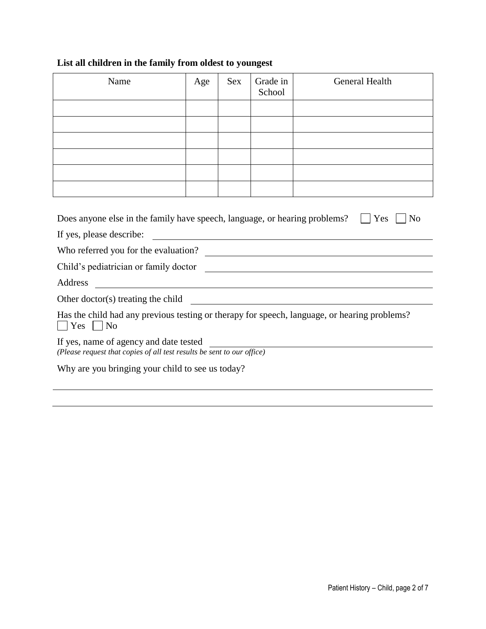## **List all children in the family from oldest to youngest**

| Name                                                                                                                                                                    | Age | <b>Sex</b> | Grade in<br>School | <b>General Health</b>                                 |
|-------------------------------------------------------------------------------------------------------------------------------------------------------------------------|-----|------------|--------------------|-------------------------------------------------------|
|                                                                                                                                                                         |     |            |                    |                                                       |
|                                                                                                                                                                         |     |            |                    |                                                       |
|                                                                                                                                                                         |     |            |                    |                                                       |
|                                                                                                                                                                         |     |            |                    |                                                       |
|                                                                                                                                                                         |     |            |                    |                                                       |
|                                                                                                                                                                         |     |            |                    |                                                       |
| Does anyone else in the family have speech, language, or hearing problems?<br>Yes<br>N <sub>0</sub><br>If yes, please describe:<br>Who referred you for the evaluation? |     |            |                    |                                                       |
| Child's pediatrician or family doctor                                                                                                                                   |     |            |                    |                                                       |
| Address<br><u> 1989 - Johann Barn, amerikansk politiker (d. 1989)</u>                                                                                                   |     |            |                    |                                                       |
| Other doctor(s) treating the child                                                                                                                                      |     |            |                    | <u> 1989 - Johann Stoff, fransk politik (f. 1989)</u> |
| Has the child had any previous testing or therapy for speech, language, or hearing problems?<br>$Yes \mid \text{No}$                                                    |     |            |                    |                                                       |
| If yes, name of agency and date tested<br>(Please request that copies of all test results be sent to our office)                                                        |     |            |                    |                                                       |
| Why are you bringing your child to see us today?                                                                                                                        |     |            |                    |                                                       |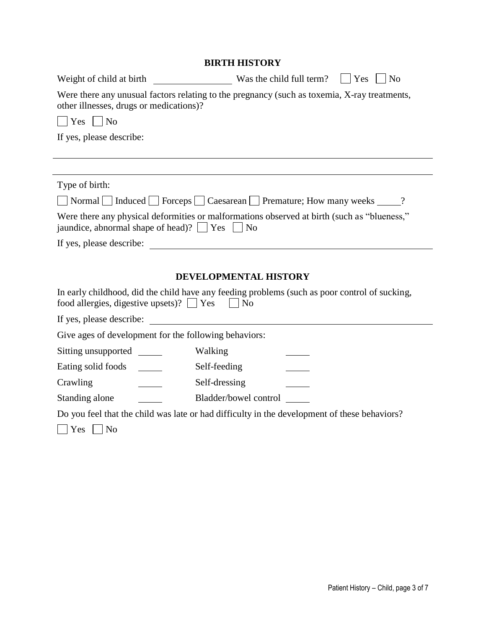|                                                         | BIKI H HISTUKY                                                                               |
|---------------------------------------------------------|----------------------------------------------------------------------------------------------|
| Weight of child at birth                                | Was the child full term? $\vert \vert$<br>Yes<br>N <sub>0</sub>                              |
| other illnesses, drugs or medications)?                 | Were there any unusual factors relating to the pregnancy (such as toxemia, X-ray treatments, |
| Yes<br>$ $ No                                           |                                                                                              |
| If yes, please describe:                                |                                                                                              |
|                                                         |                                                                                              |
|                                                         |                                                                                              |
| Type of birth:                                          |                                                                                              |
|                                                         | Normal Induced Forceps Caesarean Premature; How many weeks 2                                 |
| jaundice, abnormal shape of head)? $\Box$ Yes $\Box$ No | Were there any physical deformities or malformations observed at birth (such as "blueness,"  |
| If yes, please describe:                                |                                                                                              |
|                                                         |                                                                                              |
|                                                         | <b>DEVELOPMENTAL HISTORY</b>                                                                 |

| food allergies, digestive upsets)? $ $ $ $ Yes        | $\overline{\rm No}$   | In early childhood, did the child have any feeding problems (such as poor control of sucking, |
|-------------------------------------------------------|-----------------------|-----------------------------------------------------------------------------------------------|
| If yes, please describe:                              |                       |                                                                                               |
| Give ages of development for the following behaviors: |                       |                                                                                               |
| Sitting unsupported                                   | Walking               |                                                                                               |
| Eating solid foods                                    | Self-feeding          |                                                                                               |
| Crawling                                              | Self-dressing         |                                                                                               |
| Standing alone                                        | Bladder/bowel control |                                                                                               |
|                                                       |                       | Do you feel that the child was late or had difficulty in the development of these behaviors?  |
| Yes<br>N <sub>o</sub>                                 |                       |                                                                                               |

## **BIRTH HISTORY**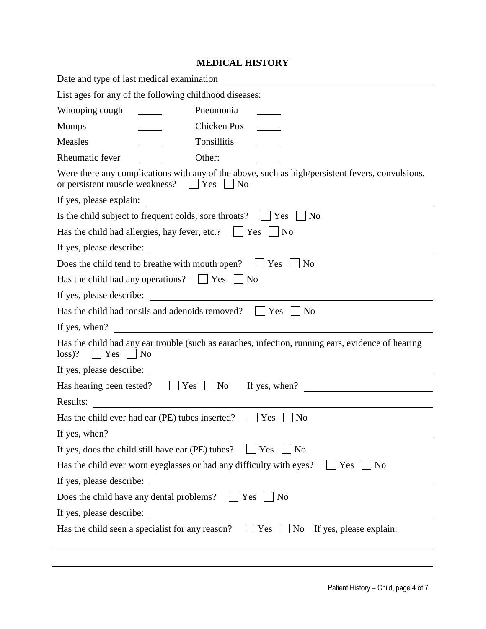#### **MEDICAL HISTORY**

| Date and type of last medical examination                                                                                                                                                                                                             |  |  |  |
|-------------------------------------------------------------------------------------------------------------------------------------------------------------------------------------------------------------------------------------------------------|--|--|--|
| List ages for any of the following childhood diseases:                                                                                                                                                                                                |  |  |  |
| Pneumonia<br>Whooping cough                                                                                                                                                                                                                           |  |  |  |
| Chicken Pox<br><b>Mumps</b>                                                                                                                                                                                                                           |  |  |  |
| Measles<br>Tonsillitis                                                                                                                                                                                                                                |  |  |  |
| Other:<br>Rheumatic fever                                                                                                                                                                                                                             |  |  |  |
| Were there any complications with any of the above, such as high/persistent fevers, convulsions,<br>or persistent muscle weakness? $\Box$ Yes $\Box$ No                                                                                               |  |  |  |
| If yes, please explain:                                                                                                                                                                                                                               |  |  |  |
| Is the child subject to frequent colds, sore throats? $\Box$ Yes<br>N <sub>o</sub>                                                                                                                                                                    |  |  |  |
| Has the child had allergies, hay fever, etc.? $\Box$ Yes<br>No                                                                                                                                                                                        |  |  |  |
| <u> The Communication of the Communication</u><br>If yes, please describe:                                                                                                                                                                            |  |  |  |
| Does the child tend to breathe with mouth open? $\Box$ Yes<br>N <sub>o</sub>                                                                                                                                                                          |  |  |  |
| Has the child had any operations? $\Box$ Yes<br>N <sub>0</sub>                                                                                                                                                                                        |  |  |  |
| If yes, please describe:                                                                                                                                                                                                                              |  |  |  |
| Has the child had tonsils and adenoids removed?<br>Yes<br>N <sub>o</sub>                                                                                                                                                                              |  |  |  |
| <u> 1989 - Johann Harry Harry Harry Harry Harry Harry Harry Harry Harry Harry Harry Harry Harry Harry Harry Harry Harry Harry Harry Harry Harry Harry Harry Harry Harry Harry Harry Harry Harry Harry Harry Harry Harry Harry Ha</u><br>If yes, when? |  |  |  |
| Has the child had any ear trouble (such as earaches, infection, running ears, evidence of hearing<br>$loss$ ?<br>$ $   Yes     No                                                                                                                     |  |  |  |
|                                                                                                                                                                                                                                                       |  |  |  |
| If yes, when? $\qquad \qquad$<br>$ $ Yes $ $<br>$\overline{N}$<br>Has hearing been tested?                                                                                                                                                            |  |  |  |
| Results:<br><u> 1989 - Jan Stein Stein Stein Stein Stein Stein Stein Stein Stein Stein Stein Stein Stein Stein Stein Stein S</u>                                                                                                                      |  |  |  |
| Has the child ever had ear (PE) tubes inserted?<br>Yes<br>N <sub>0</sub>                                                                                                                                                                              |  |  |  |
| If yes, when?                                                                                                                                                                                                                                         |  |  |  |
| If yes, does the child still have ear (PE) tubes?<br>Yes<br>N <sub>o</sub>                                                                                                                                                                            |  |  |  |
| Has the child ever worn eyeglasses or had any difficulty with eyes?<br>Yes<br>No                                                                                                                                                                      |  |  |  |
| If yes, please describe:                                                                                                                                                                                                                              |  |  |  |
| Does the child have any dental problems?<br>Yes<br>N <sub>o</sub>                                                                                                                                                                                     |  |  |  |
| If yes, please describe:                                                                                                                                                                                                                              |  |  |  |
| If yes, please explain:<br>Has the child seen a specialist for any reason?<br>Yes<br>No                                                                                                                                                               |  |  |  |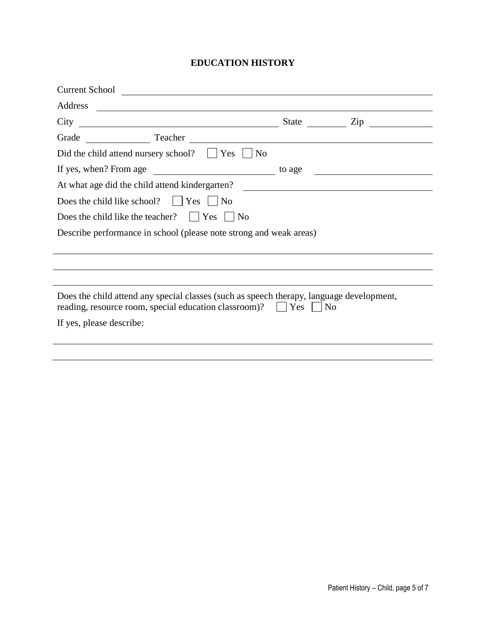## **EDUCATION HISTORY**

| Address                  | <u> 1980 - Andrea Andrew Maria (h. 1980).</u>                                                                                                                                                                                 |        |           |
|--------------------------|-------------------------------------------------------------------------------------------------------------------------------------------------------------------------------------------------------------------------------|--------|-----------|
| City                     |                                                                                                                                                                                                                               |        | State Zip |
|                          | Grade Teacher Teacher Constant of Teacher Constant of Teacher Constant of Teacher Constant of Teacher Constant of Teacher Constant of Teacher Constant of Teacher Constant of Teacher Constant of Teacher Constant of Teacher |        |           |
|                          | Did the child attend nursery school? $\Box$ Yes $\Box$ No                                                                                                                                                                     |        |           |
| If yes, when? From age   |                                                                                                                                                                                                                               | to age |           |
|                          | At what age did the child attend kindergarten? __________________________________                                                                                                                                             |        |           |
|                          | Does the child like school? $ $   Yes     No                                                                                                                                                                                  |        |           |
|                          | Does the child like the teacher? $ $   Yes     No                                                                                                                                                                             |        |           |
|                          | Describe performance in school (please note strong and weak areas)                                                                                                                                                            |        |           |
|                          |                                                                                                                                                                                                                               |        |           |
|                          |                                                                                                                                                                                                                               |        |           |
|                          |                                                                                                                                                                                                                               |        |           |
|                          | Does the child attend any special classes (such as speech therapy, language development,<br>reading, resource room, special education classroom)?     Yes     No                                                              |        |           |
| If yes, please describe: |                                                                                                                                                                                                                               |        |           |
|                          |                                                                                                                                                                                                                               |        |           |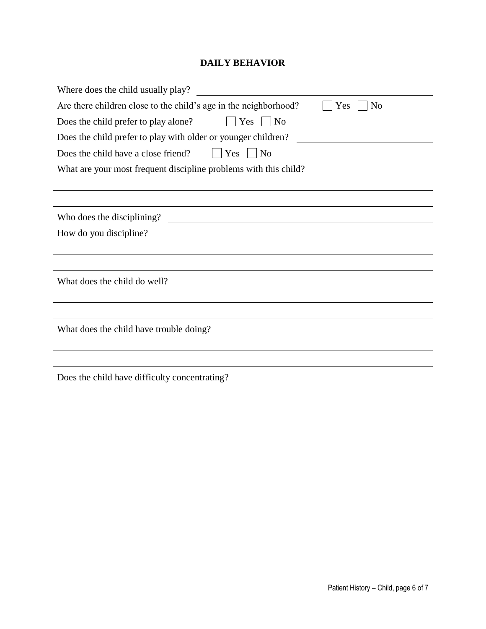## **DAILY BEHAVIOR**

| Where does the child usually play?                                                        |
|-------------------------------------------------------------------------------------------|
| Are there children close to the child's age in the neighborhood?<br>Yes<br>N <sub>o</sub> |
| $ $   Yes     No<br>Does the child prefer to play alone?                                  |
| Does the child prefer to play with older or younger children?                             |
| Does the child have a close friend?<br>$\vert$ Yes<br>N <sub>o</sub>                      |
| What are your most frequent discipline problems with this child?                          |
|                                                                                           |
|                                                                                           |
| Who does the disciplining?                                                                |
| How do you discipline?                                                                    |
|                                                                                           |
|                                                                                           |
| What does the child do well?                                                              |
|                                                                                           |
|                                                                                           |
| What does the child have trouble doing?                                                   |
|                                                                                           |
|                                                                                           |
| Does the child have difficulty concentrating?                                             |